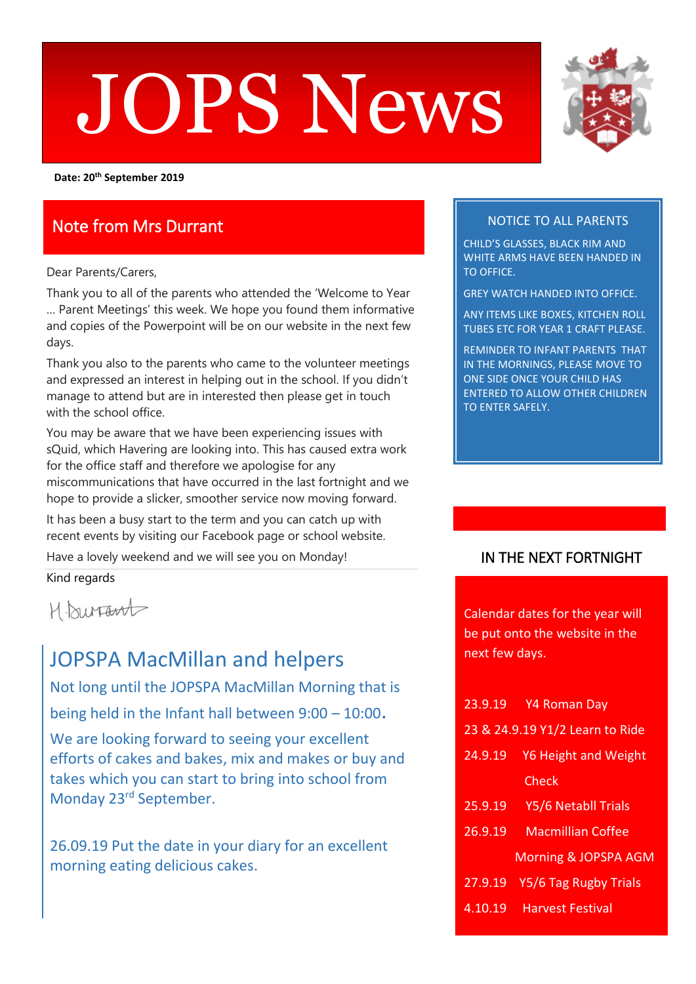# $\blacksquare$ JOPS News



**Date: 20th September 2019**

# Note from Mrs Durrant

Dear Parents/Carers,

Thank you to all of the parents who attended the 'Welcome to Year … Parent Meetings' this week. We hope you found them informative and copies of the Powerpoint will be on our website in the next few days.

Thank you also to the parents who came to the volunteer meetings and expressed an interest in helping out in the school. If you didn't manage to attend but are in interested then please get in touch with the school office.

You may be aware that we have been experiencing issues with sQuid, which Havering are looking into. This has caused extra work for the office staff and therefore we apologise for any miscommunications that have occurred in the last fortnight and we hope to provide a slicker, smoother service now moving forward.

It has been a busy start to the term and you can catch up with recent events by visiting our Facebook page or school website.

Have a lovely weekend and we will see you on Monday!

Kind regards

H. burrant

# JOPSPA MacMillan and helpers

Not long until the JOPSPA MacMillan Morning that is being held in the Infant hall between 9:00 – 10:00. We are looking forward to seeing your excellent efforts of cakes and bakes, mix and makes or buy and takes which you can start to bring into school from Monday 23rd September.

26.09.19 Put the date in your diary for an excellent morning eating delicious cakes.

## NOTICE TO ALL PARENTS

CHILD'S GLASSES, BLACK RIM AND WHITE ARMS HAVE BEEN HANDED IN TO OFFICE.

GREY WATCH HANDED INTO OFFICE.

ANY ITEMS LIKE BOXES, KITCHEN ROLL TUBES ETC FOR YEAR 1 CRAFT PLEASE.

REMINDER TO INFANT PARENTS THAT IN THE MORNINGS, PLEASE MOVE TO ONE SIDE ONCE YOUR CHILD HAS ENTERED TO ALLOW OTHER CHILDREN TO ENTER SAFELY.

## IN THE NEXT FORTNIGHT

Calendar dates for the year will be put onto the website in the next few days.

|         | 23.9.19 Y4 Roman Day            |
|---------|---------------------------------|
|         | 23 & 24.9.19 Y1/2 Learn to Ride |
| 24.9.19 | Y6 Height and Weight            |
|         | Check                           |
| 25.9.19 | Y5/6 Netabll Trials             |
| 26.9.19 | <b>Macmillian Coffee</b>        |
|         | <b>Morning &amp; JOPSPA AGM</b> |
|         | 27.9.19 Y5/6 Tag Rugby Trials   |
| 4.10.19 | <b>Harvest Festival</b>         |
|         |                                 |